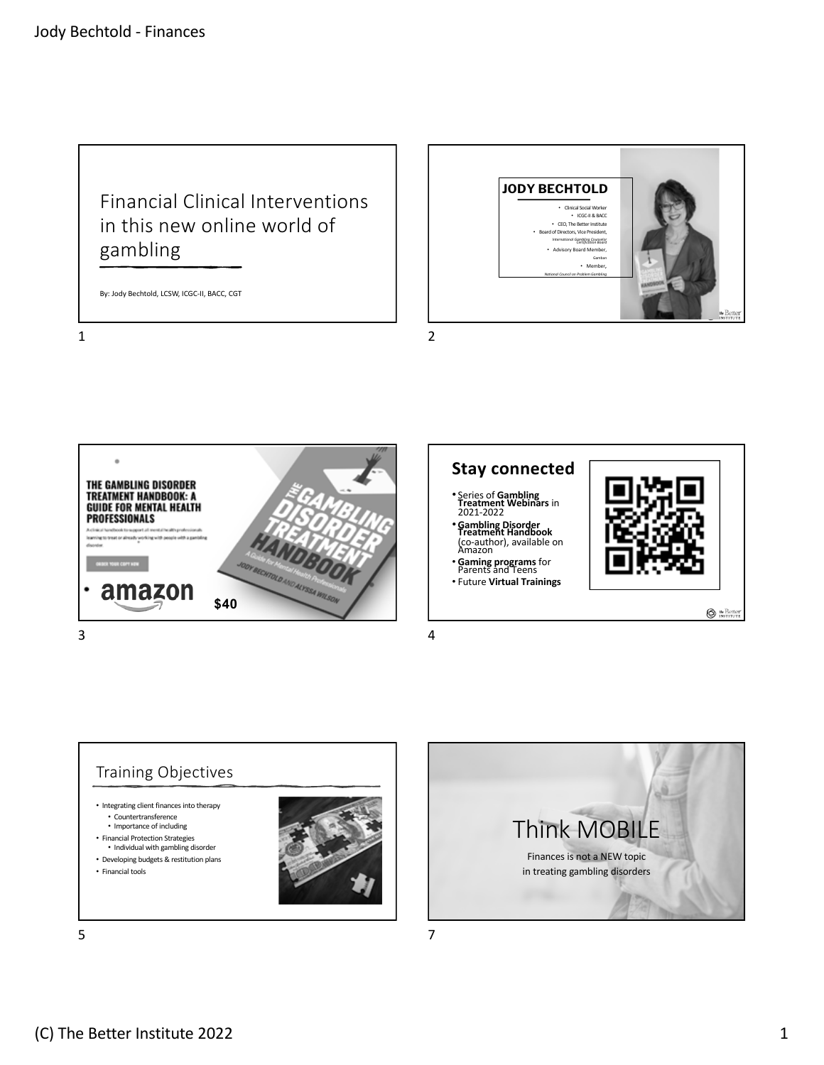## Financial Clinical Interventions in this new online world of gambling

By: Jody Bechtold, LCSW, ICGC-II, BACC, CGT

1



2



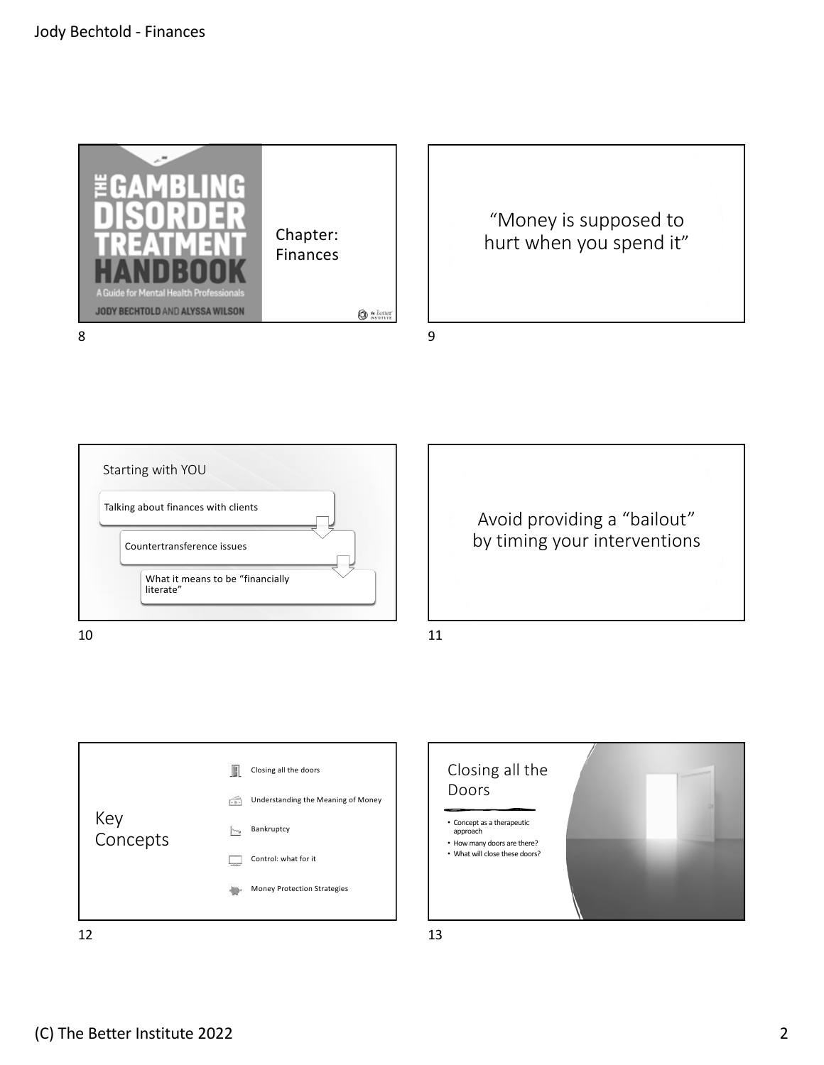









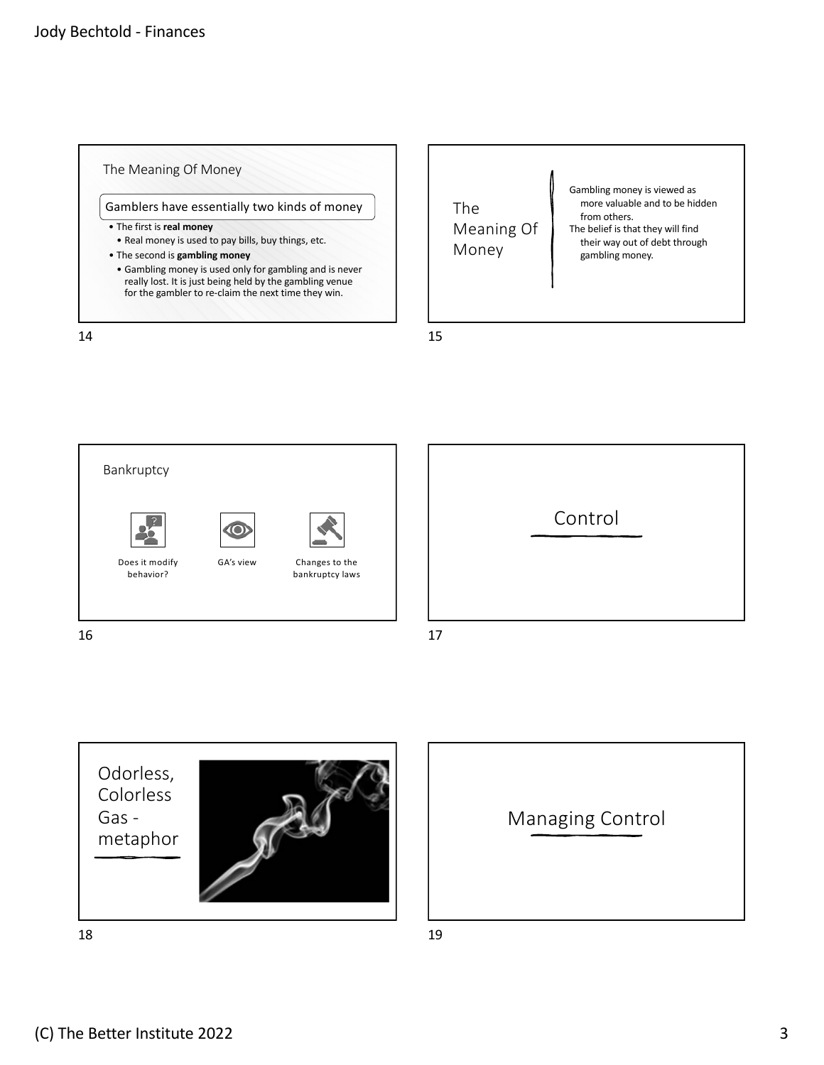









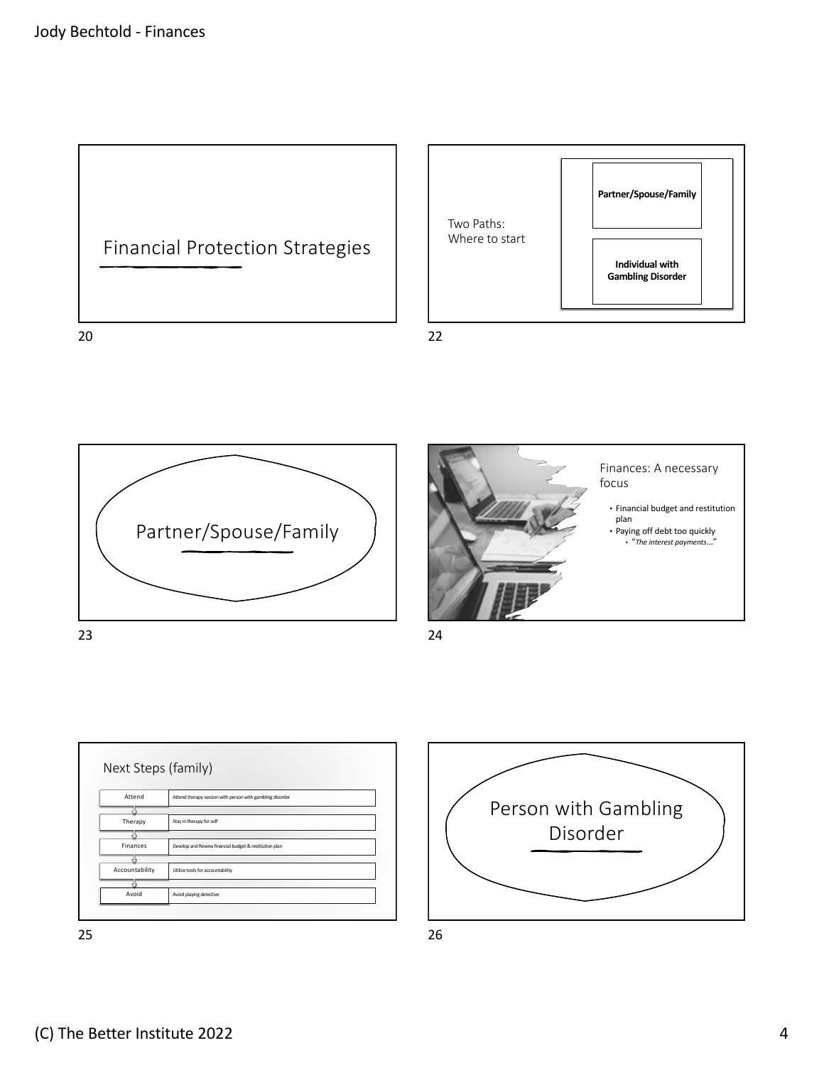







24



Person with Gambling Disorder 26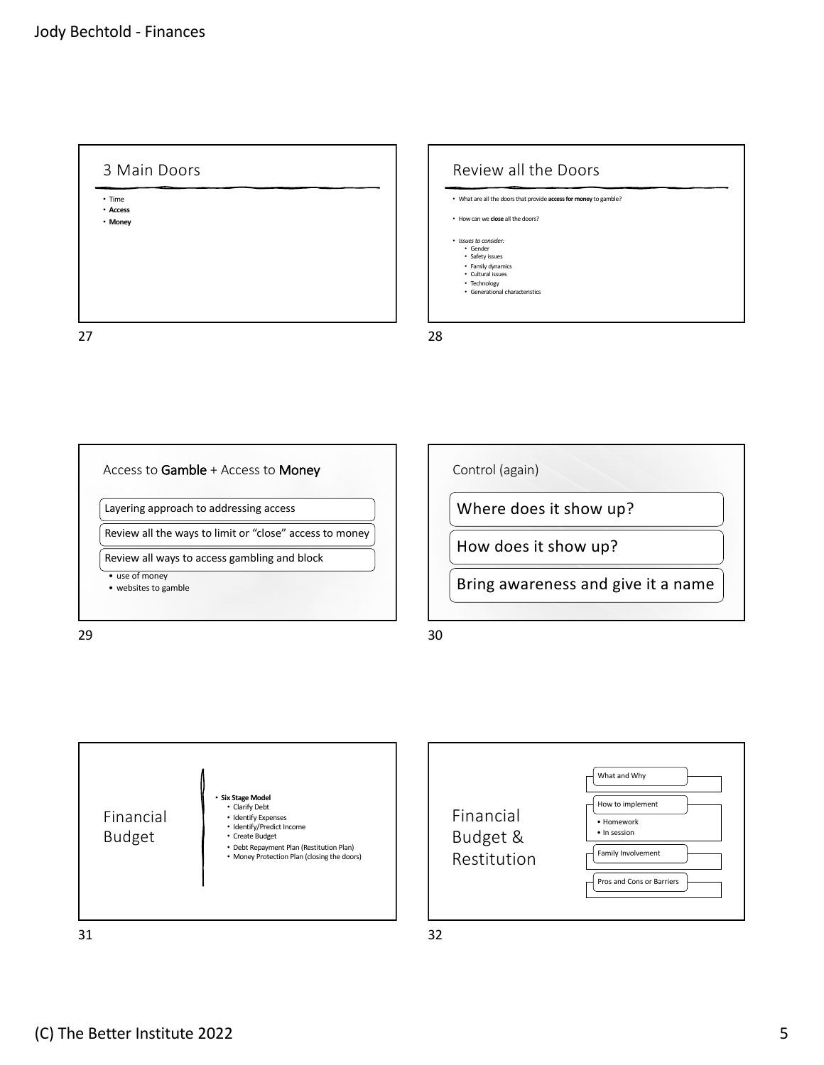3 Main Doors • Time • **Access** • **Money** 27

Review all the Doors • What are all the doors that provide **access for money** to gamble? • How can we **close** all the doors? • *Issues to consider:* • Gender • Safety issues • Family dynamics • Cultural issues • Technology • Generational characteristics 28



29

Control (again)

Where does it show up?

How does it show up?

Bring awareness and give it a name

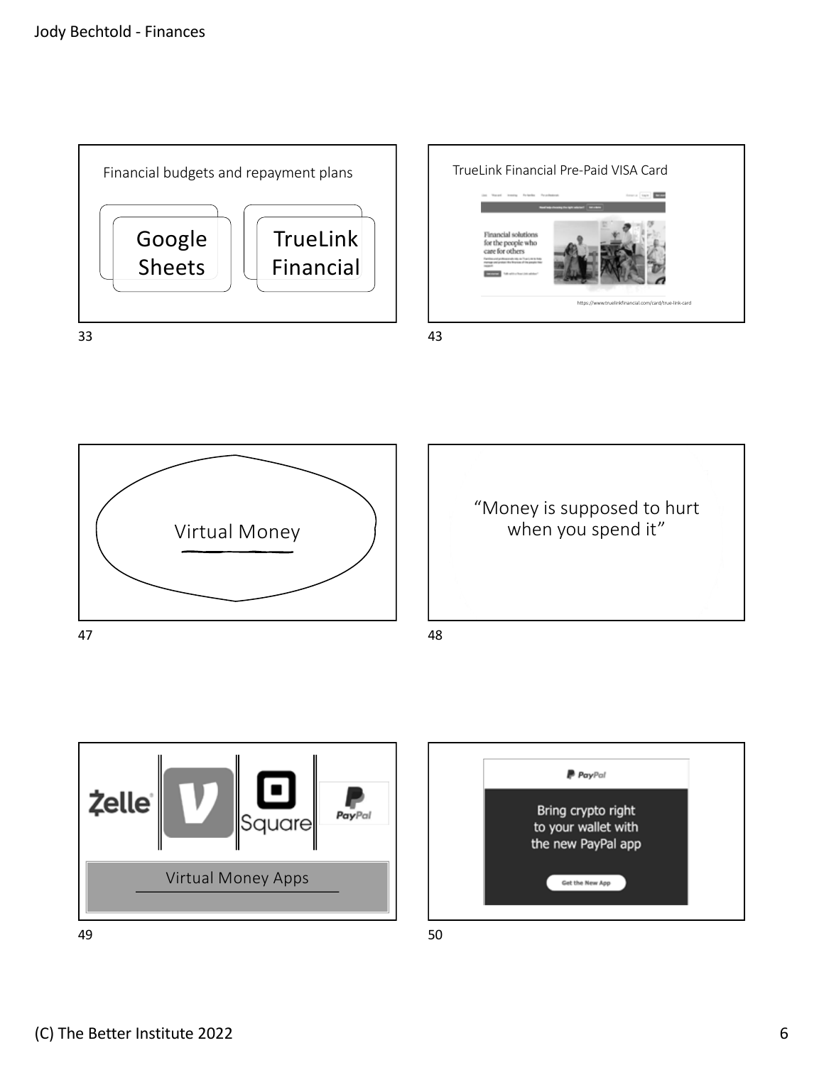









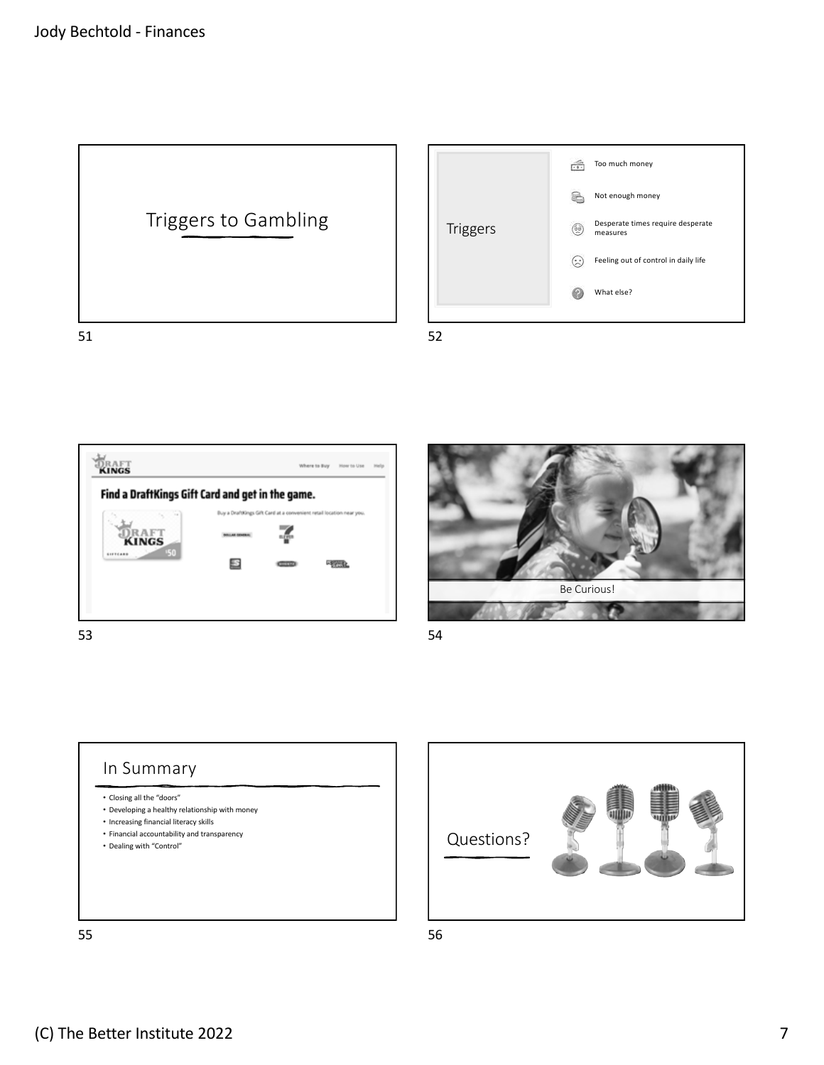



**DRAFT** Where to Buy = How to Use = Help Find a DraftKings Gift Card and get in the game. Buy a DraftKings Gift Card at a co DRAFT<br>KINGS z B **Real** 53



54